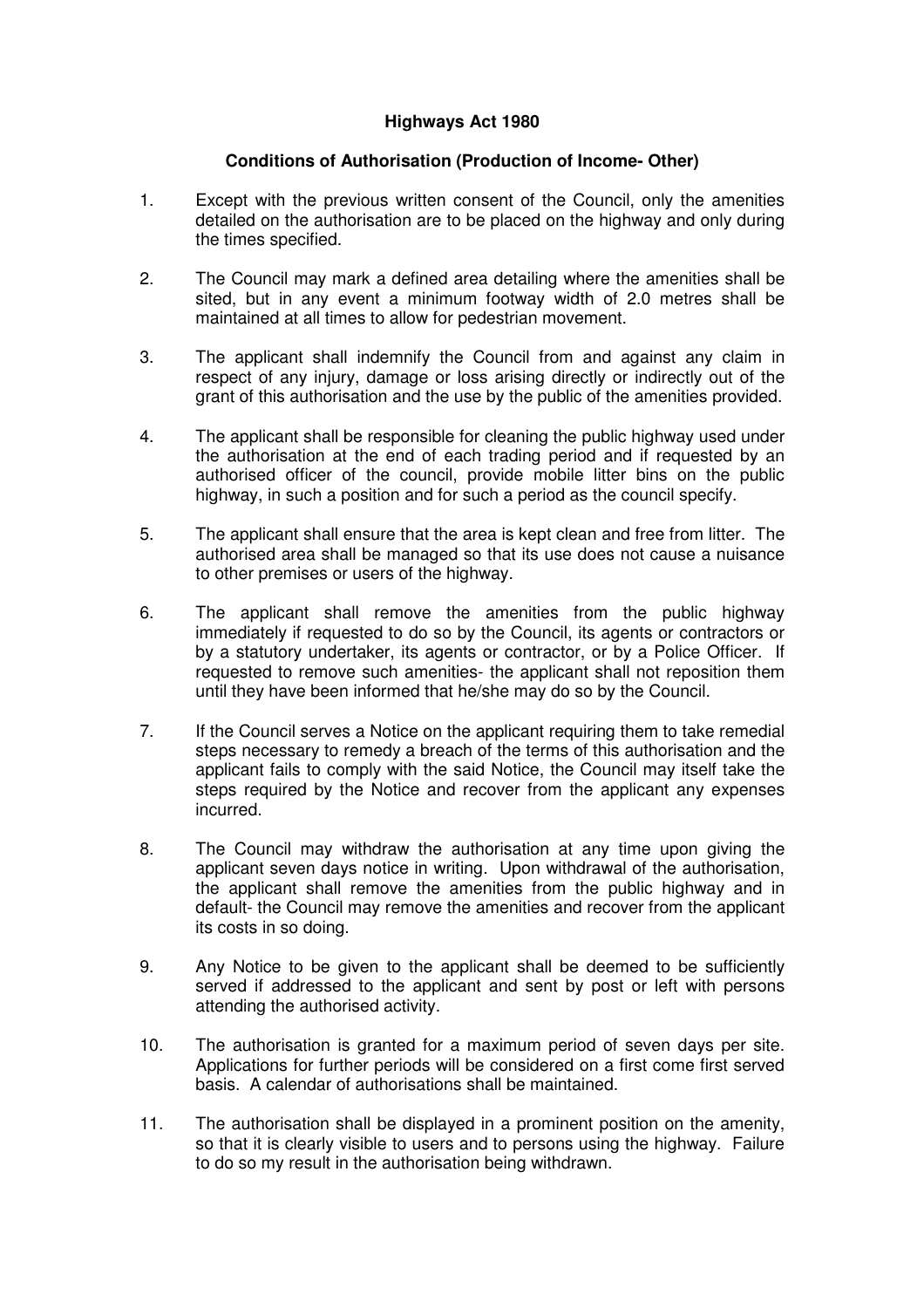## **Highways Act 1980**

## **Conditions of Authorisation (Production of Income- Other)**

- 1. Except with the previous written consent of the Council, only the amenities detailed on the authorisation are to be placed on the highway and only during the times specified.
- 2. The Council may mark a defined area detailing where the amenities shall be sited, but in any event a minimum footway width of 2.0 metres shall be maintained at all times to allow for pedestrian movement.
- 3. The applicant shall indemnify the Council from and against any claim in respect of any injury, damage or loss arising directly or indirectly out of the grant of this authorisation and the use by the public of the amenities provided.
- 4. The applicant shall be responsible for cleaning the public highway used under the authorisation at the end of each trading period and if requested by an authorised officer of the council, provide mobile litter bins on the public highway, in such a position and for such a period as the council specify.
- 5. The applicant shall ensure that the area is kept clean and free from litter. The authorised area shall be managed so that its use does not cause a nuisance to other premises or users of the highway.
- 6. The applicant shall remove the amenities from the public highway immediately if requested to do so by the Council, its agents or contractors or by a statutory undertaker, its agents or contractor, or by a Police Officer. If requested to remove such amenities- the applicant shall not reposition them until they have been informed that he/she may do so by the Council.
- 7. If the Council serves a Notice on the applicant requiring them to take remedial steps necessary to remedy a breach of the terms of this authorisation and the applicant fails to comply with the said Notice, the Council may itself take the steps required by the Notice and recover from the applicant any expenses incurred.
- 8. The Council may withdraw the authorisation at any time upon giving the applicant seven days notice in writing. Upon withdrawal of the authorisation, the applicant shall remove the amenities from the public highway and in default- the Council may remove the amenities and recover from the applicant its costs in so doing.
- 9. Any Notice to be given to the applicant shall be deemed to be sufficiently served if addressed to the applicant and sent by post or left with persons attending the authorised activity.
- 10. The authorisation is granted for a maximum period of seven days per site. Applications for further periods will be considered on a first come first served basis. A calendar of authorisations shall be maintained.
- 11. The authorisation shall be displayed in a prominent position on the amenity, so that it is clearly visible to users and to persons using the highway. Failure to do so my result in the authorisation being withdrawn.